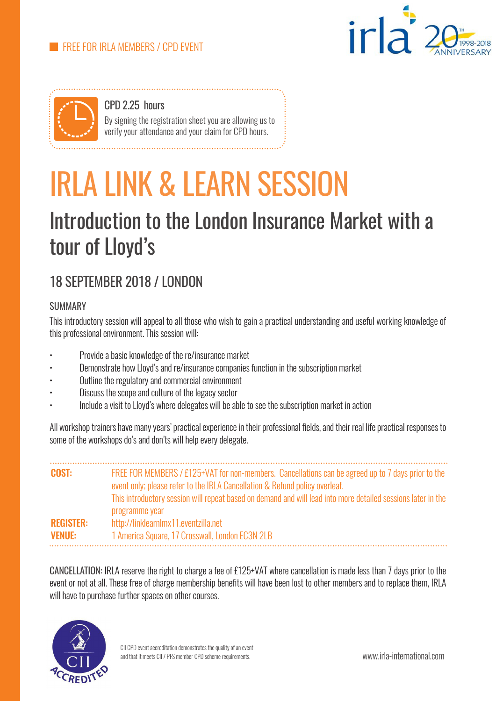



CPD 2.25 hours By signing the registration sheet you are allowing us to verify your attendance and your claim for CPD hours.

# IRLA LINK & LEARN SESSION

## Introduction to the London Insurance Market with a tour of Lloyd's

### 18 SEPTEMBER 2018 / LONDON

#### **SUMMARY**

This introductory session will appeal to all those who wish to gain a practical understanding and useful working knowledge of this professional environment. This session will:

- Provide a basic knowledge of the re/insurance market
- Demonstrate how Lloyd's and re/insurance companies function in the subscription market
- Outline the regulatory and commercial environment
- Discuss the scope and culture of the legacy sector
- Include a visit to Lloyd's where delegates will be able to see the subscription market in action

All workshop trainers have many years' practical experience in their professional fields, and their real life practical responses to some of the workshops do's and don'ts will help every delegate.

| <b>COST:</b>                      | FREE FOR MEMBERS / £125+VAT for non-members. Cancellations can be agreed up to 7 days prior to the<br>event only; please refer to the IRLA Cancellation & Refund policy overleaf.<br>This introductory session will repeat based on demand and will lead into more detailed sessions later in the |
|-----------------------------------|---------------------------------------------------------------------------------------------------------------------------------------------------------------------------------------------------------------------------------------------------------------------------------------------------|
| <b>REGISTER:</b><br><b>VENUE:</b> | programme year<br>http://linklearnlmx11.eventzilla.net<br>1 America Square, 17 Crosswall, London EC3N 2LB                                                                                                                                                                                         |

CANCELLATION: IRLA reserve the right to charge a fee of £125+VAT where cancellation is made less than 7 days prior to the event or not at all. These free of charge membership benefits will have been lost to other members and to replace them, IRLA will have to purchase further spaces on other courses.